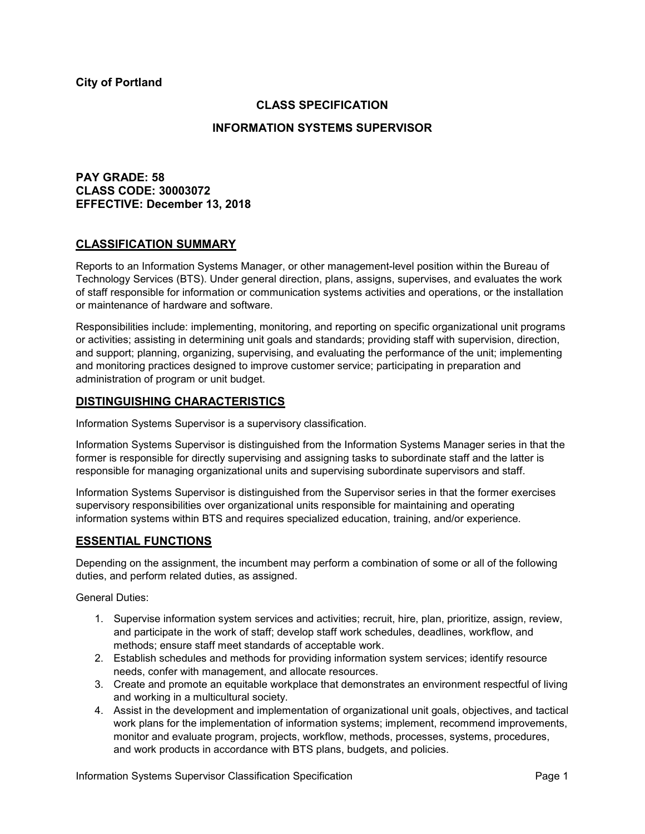**City of Portland**

### **CLASS SPECIFICATION**

### **INFORMATION SYSTEMS SUPERVISOR**

## **PAY GRADE: 58 CLASS CODE: 30003072 EFFECTIVE: December 13, 2018**

#### **CLASSIFICATION SUMMARY**

Reports to an Information Systems Manager, or other management-level position within the Bureau of Technology Services (BTS). Under general direction, plans, assigns, supervises, and evaluates the work of staff responsible for information or communication systems activities and operations, or the installation or maintenance of hardware and software.

Responsibilities include: implementing, monitoring, and reporting on specific organizational unit programs or activities; assisting in determining unit goals and standards; providing staff with supervision, direction, and support; planning, organizing, supervising, and evaluating the performance of the unit; implementing and monitoring practices designed to improve customer service; participating in preparation and administration of program or unit budget.

### **DISTINGUISHING CHARACTERISTICS**

Information Systems Supervisor is a supervisory classification.

Information Systems Supervisor is distinguished from the Information Systems Manager series in that the former is responsible for directly supervising and assigning tasks to subordinate staff and the latter is responsible for managing organizational units and supervising subordinate supervisors and staff.

Information Systems Supervisor is distinguished from the Supervisor series in that the former exercises supervisory responsibilities over organizational units responsible for maintaining and operating information systems within BTS and requires specialized education, training, and/or experience.

### **ESSENTIAL FUNCTIONS**

Depending on the assignment, the incumbent may perform a combination of some or all of the following duties, and perform related duties, as assigned.

General Duties:

- 1. Supervise information system services and activities; recruit, hire, plan, prioritize, assign, review, and participate in the work of staff; develop staff work schedules, deadlines, workflow, and methods; ensure staff meet standards of acceptable work.
- 2. Establish schedules and methods for providing information system services; identify resource needs, confer with management, and allocate resources.
- 3. Create and promote an equitable workplace that demonstrates an environment respectful of living and working in a multicultural society.
- 4. Assist in the development and implementation of organizational unit goals, objectives, and tactical work plans for the implementation of information systems; implement, recommend improvements, monitor and evaluate program, projects, workflow, methods, processes, systems, procedures, and work products in accordance with BTS plans, budgets, and policies.

Information Systems Supervisor Classification Specification **Page 1** Page 1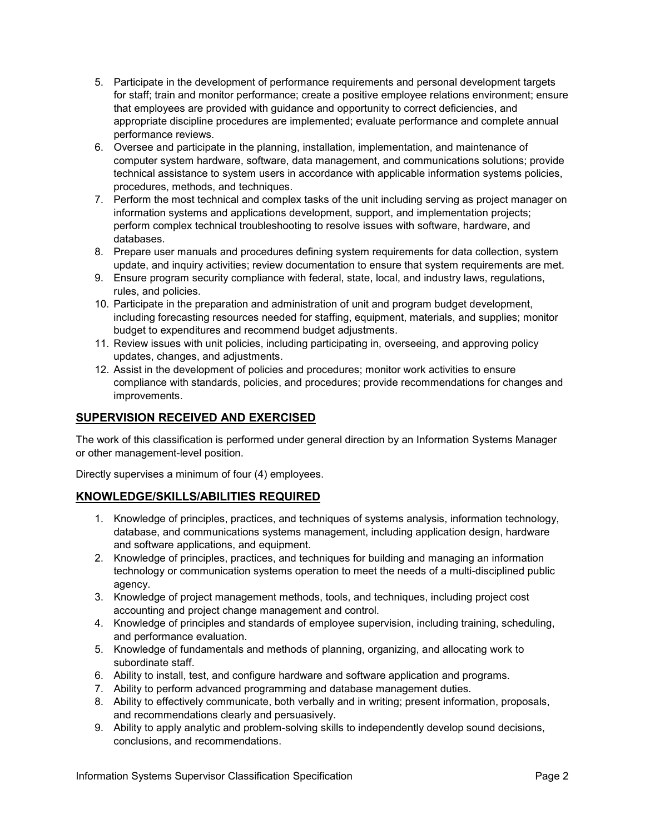- 5. Participate in the development of performance requirements and personal development targets for staff; train and monitor performance; create a positive employee relations environment; ensure that employees are provided with guidance and opportunity to correct deficiencies, and appropriate discipline procedures are implemented; evaluate performance and complete annual performance reviews.
- 6. Oversee and participate in the planning, installation, implementation, and maintenance of computer system hardware, software, data management, and communications solutions; provide technical assistance to system users in accordance with applicable information systems policies, procedures, methods, and techniques.
- 7. Perform the most technical and complex tasks of the unit including serving as project manager on information systems and applications development, support, and implementation projects; perform complex technical troubleshooting to resolve issues with software, hardware, and databases.
- 8. Prepare user manuals and procedures defining system requirements for data collection, system update, and inquiry activities; review documentation to ensure that system requirements are met.
- 9. Ensure program security compliance with federal, state, local, and industry laws, regulations, rules, and policies.
- 10. Participate in the preparation and administration of unit and program budget development, including forecasting resources needed for staffing, equipment, materials, and supplies; monitor budget to expenditures and recommend budget adjustments.
- 11. Review issues with unit policies, including participating in, overseeing, and approving policy updates, changes, and adjustments.
- 12. Assist in the development of policies and procedures; monitor work activities to ensure compliance with standards, policies, and procedures; provide recommendations for changes and improvements.

# **SUPERVISION RECEIVED AND EXERCISED**

The work of this classification is performed under general direction by an Information Systems Manager or other management-level position.

Directly supervises a minimum of four (4) employees.

# **KNOWLEDGE/SKILLS/ABILITIES REQUIRED**

- 1. Knowledge of principles, practices, and techniques of systems analysis, information technology, database, and communications systems management, including application design, hardware and software applications, and equipment.
- 2. Knowledge of principles, practices, and techniques for building and managing an information technology or communication systems operation to meet the needs of a multi-disciplined public agency.
- 3. Knowledge of project management methods, tools, and techniques, including project cost accounting and project change management and control.
- 4. Knowledge of principles and standards of employee supervision, including training, scheduling, and performance evaluation.
- 5. Knowledge of fundamentals and methods of planning, organizing, and allocating work to subordinate staff.
- 6. Ability to install, test, and configure hardware and software application and programs.
- 7. Ability to perform advanced programming and database management duties.
- 8. Ability to effectively communicate, both verbally and in writing; present information, proposals, and recommendations clearly and persuasively.
- 9. Ability to apply analytic and problem-solving skills to independently develop sound decisions, conclusions, and recommendations.